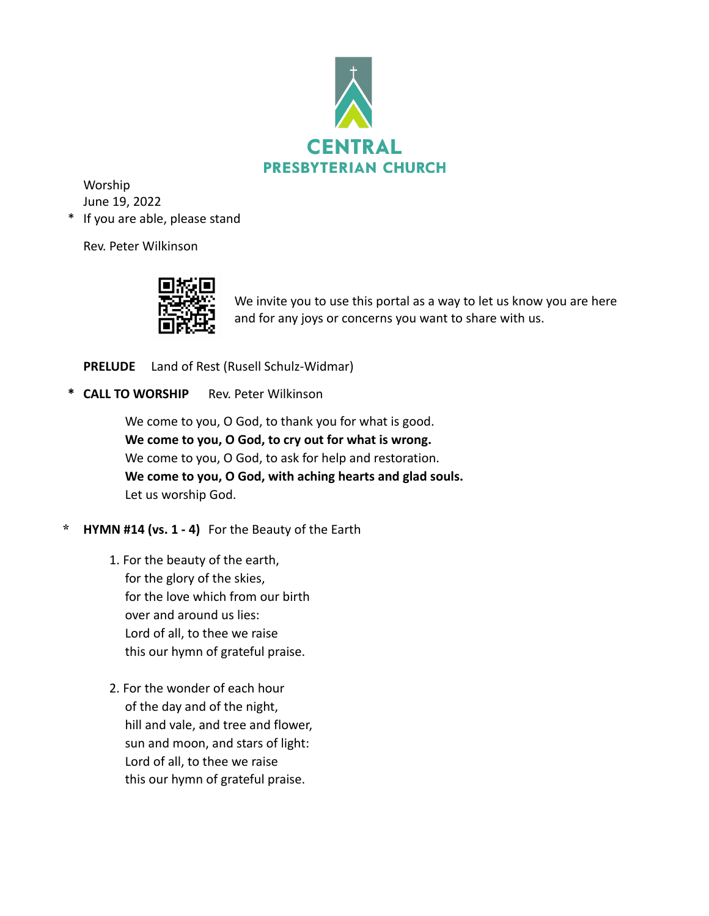

Worship June 19, 2022

\* If you are able, please stand

Rev. Peter Wilkinson



We invite you to use this portal as a way to let us know you are here and for any joys or concerns you want to share with us.

**PRELUDE** Land of Rest (Rusell Schulz-Widmar)

**\* CALL TO WORSHIP** Rev. Peter Wilkinson

We come to you, O God, to thank you for what is good. **We come to you, O God, to cry out for what is wrong.** We come to you, O God, to ask for help and restoration. **We come to you, O God, with aching hearts and glad souls.** Let us worship God.

- **\* HYMN #14 (vs. 1 4)** For the Beauty of the Earth
	- 1. For the beauty of the earth, for the glory of the skies, for the love which from our birth over and around us lies: Lord of all, to thee we raise this our hymn of grateful praise.
	- 2. For the wonder of each hour of the day and of the night, hill and vale, and tree and flower, sun and moon, and stars of light: Lord of all, to thee we raise this our hymn of grateful praise.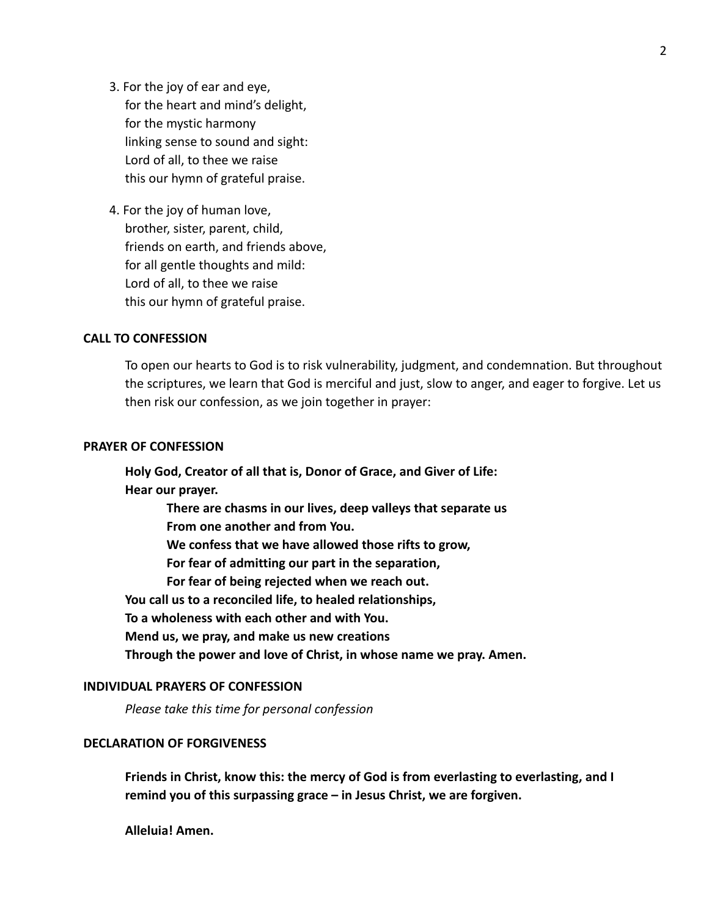- 3. For the joy of ear and eye, for the heart and mind's delight, for the mystic harmony linking sense to sound and sight: Lord of all, to thee we raise this our hymn of grateful praise.
- 4. For the joy of human love, brother, sister, parent, child, friends on earth, and friends above, for all gentle thoughts and mild: Lord of all, to thee we raise this our hymn of grateful praise.

### **CALL TO CONFESSION**

To open our hearts to God is to risk vulnerability, judgment, and condemnation. But throughout the scriptures, we learn that God is merciful and just, slow to anger, and eager to forgive. Let us then risk our confession, as we join together in prayer:

## **PRAYER OF CONFESSION**

**Holy God, Creator of all that is, Donor of Grace, and Giver of Life: Hear our prayer.**

> **There are chasms in our lives, deep valleys that separate us From one another and from You.**

**We confess that we have allowed those rifts to grow,**

**For fear of admitting our part in the separation,**

**For fear of being rejected when we reach out.**

**You call us to a reconciled life, to healed relationships,**

**To a wholeness with each other and with You.**

**Mend us, we pray, and make us new creations**

**Through the power and love of Christ, in whose name we pray. Amen.**

### **INDIVIDUAL PRAYERS OF CONFESSION**

*Please take this time for personal confession*

# **DECLARATION OF FORGIVENESS**

**Friends in Christ, know this: the mercy of God is from everlasting to everlasting, and I remind you of this surpassing grace – in Jesus Christ, we are forgiven.**

**Alleluia! Amen.**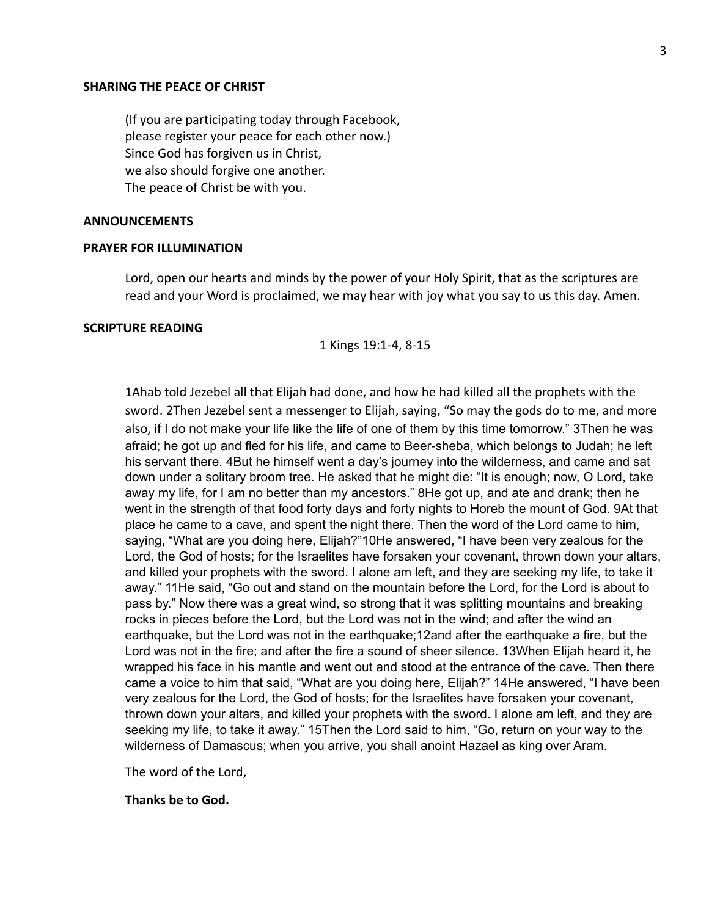#### **SHARING THE PEACE OF CHRIST**

(If you are participating today through Facebook, please register your peace for each other now.) Since God has forgiven us in Christ, we also should forgive one another. The peace of Christ be with you.

#### **ANNOUNCEMENTS**

### **PRAYER FOR ILLUMINATION**

Lord, open our hearts and minds by the power of your Holy Spirit, that as the scriptures are read and your Word is proclaimed, we may hear with joy what you say to us this day. Amen.

### **SCRIPTURE READING**

1 Kings 19:1-4, 8-15

1Ahab told Jezebel all that Elijah had done, and how he had killed all the prophets with the sword. 2Then Jezebel sent a messenger to Elijah, saying, "So may the gods do to me, and more also, if I do not make your life like the life of one of them by this time tomorrow." 3Then he was afraid; he got up and fled for his life, and came to Beer-sheba, which belongs to Judah; he left his servant there. 4But he himself went a day's journey into the wilderness, and came and sat down under a solitary broom tree. He asked that he might die: "It is enough; now, O Lord, take away my life, for I am no better than my ancestors." 8He got up, and ate and drank; then he went in the strength of that food forty days and forty nights to Horeb the mount of God. 9At that place he came to a cave, and spent the night there. Then the word of the Lord came to him, saying, "What are you doing here, Elijah?"10He answered, "I have been very zealous for the Lord, the God of hosts; for the Israelites have forsaken your covenant, thrown down your altars, and killed your prophets with the sword. I alone am left, and they are seeking my life, to take it away." 11He said, "Go out and stand on the mountain before the Lord, for the Lord is about to pass by." Now there was a great wind, so strong that it was splitting mountains and breaking rocks in pieces before the Lord, but the Lord was not in the wind; and after the wind an earthquake, but the Lord was not in the earthquake;12and after the earthquake a fire, but the Lord was not in the fire; and after the fire a sound of sheer silence. 13When Elijah heard it, he wrapped his face in his mantle and went out and stood at the entrance of the cave. Then there came a voice to him that said, "What are you doing here, Elijah?" 14He answered, "I have been very zealous for the Lord, the God of hosts; for the Israelites have forsaken your covenant, thrown down your altars, and killed your prophets with the sword. I alone am left, and they are seeking my life, to take it away." 15Then the Lord said to him, "Go, return on your way to the wilderness of Damascus; when you arrive, you shall anoint Hazael as king over Aram.

The word of the Lord,

#### **Thanks be to God.**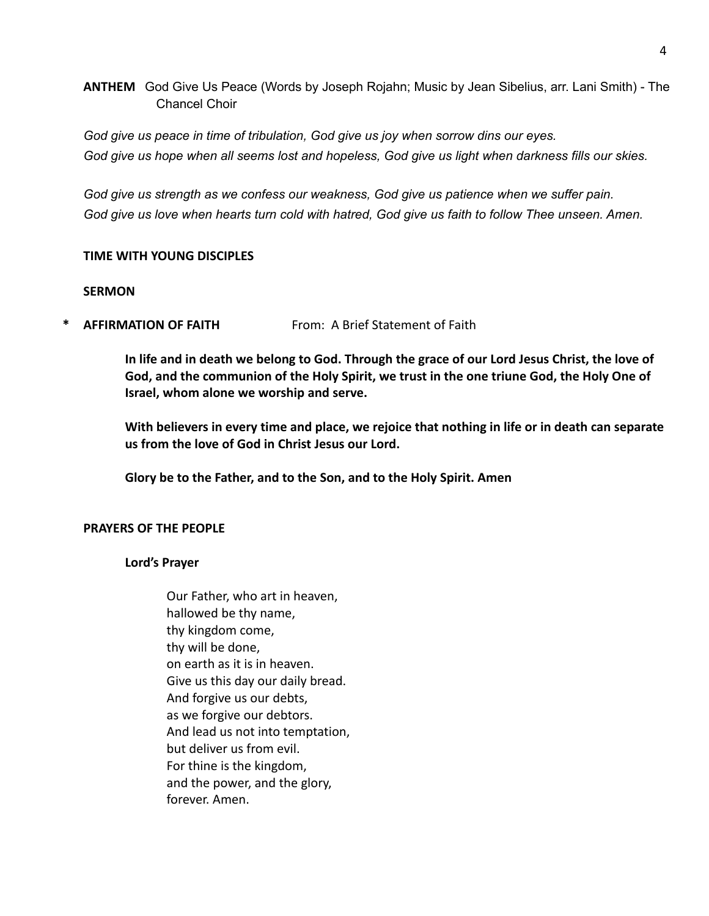**ANTHEM** God Give Us Peace (Words by Joseph Rojahn; Music by Jean Sibelius, arr. Lani Smith) - The Chancel Choir

*God give us peace in time of tribulation, God give us joy when sorrow dins our eyes.* God give us hope when all seems lost and hopeless, God give us light when darkness fills our skies.

*God give us strength as we confess our weakness, God give us patience when we suffer pain.* God give us love when hearts turn cold with hatred, God give us faith to follow Thee unseen. Amen.

## **TIME WITH YOUNG DISCIPLES**

### **SERMON**

**AFFIRMATION OF FAITH** From: A Brief Statement of Faith

**In life and in death we belong to God. Through the grace of our Lord Jesus Christ, the love of God, and the communion of the Holy Spirit, we trust in the one triune God, the Holy One of Israel, whom alone we worship and serve.**

**With believers in every time and place, we rejoice that nothing in life or in death can separate us from the love of God in Christ Jesus our Lord.**

**Glory be to the Father, and to the Son, and to the Holy Spirit. Amen**

## **PRAYERS OF THE PEOPLE**

## **Lord's Prayer**

Our Father, who art in heaven, hallowed be thy name, thy kingdom come, thy will be done, on earth as it is in heaven. Give us this day our daily bread. And forgive us our debts, as we forgive our debtors. And lead us not into temptation, but deliver us from evil. For thine is the kingdom, and the power, and the glory, forever. Amen.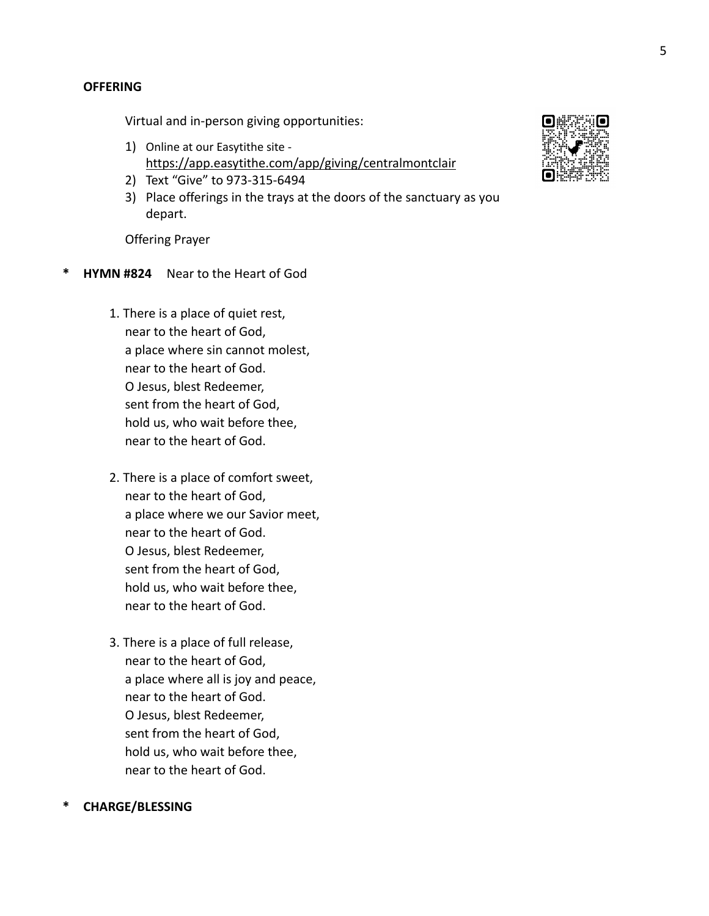Virtual and in-person giving opportunities:

- 1) Online at our Easytithe site <https://app.easytithe.com/app/giving/centralmontclair>
- 2) Text "Give" to 973-315-6494
- 3) Place offerings in the trays at the doors of the sanctuary as you depart.

Offering Prayer

- **\* HYMN #824** Near to the Heart of God
	- 1. There is a place of quiet rest, near to the heart of God, a place where sin cannot molest, near to the heart of God. O Jesus, blest Redeemer, sent from the heart of God, hold us, who wait before thee, near to the heart of God.
	- 2. There is a place of comfort sweet, near to the heart of God, a place where we our Savior meet, near to the heart of God. O Jesus, blest Redeemer, sent from the heart of God, hold us, who wait before thee, near to the heart of God.
	- 3. There is a place of full release, near to the heart of God, a place where all is joy and peace, near to the heart of God. O Jesus, blest Redeemer, sent from the heart of God, hold us, who wait before thee, near to the heart of God.

## **\* CHARGE/BLESSING**